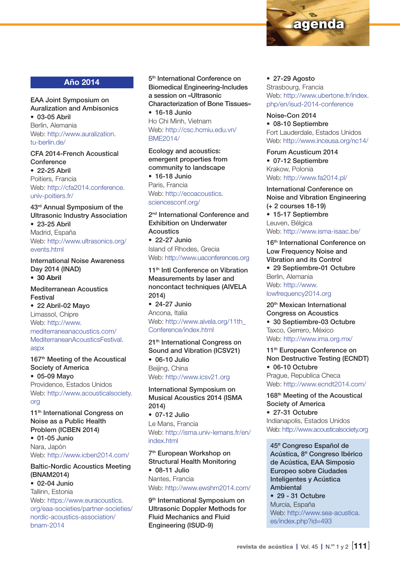

# Año 2014

EAA Joint Symposium on Auralization and Ambisonics • 03-05 Abril Berlin, Alemania Web: [http://www.auralization.](http://www.auralization.tu-berlin.de/) [tu-berlin.de/](http://www.auralization.tu-berlin.de/)

CFA 2014-French Acoustical **Conference** 

• 22-25 Abril Poitiers, Francia Web: [http://cfa2014.conference.](http://cfa2014.conference.univ-poitiers.fr/) [univ-poitiers.fr/](http://cfa2014.conference.univ-poitiers.fr/)

43rd Annual Symposium of the Ultrasonic Industry Association • 23-25 Abril Madrid, España Web: [http://www.ultrasonics.org/](http://www.ultrasonics.org/events.html) [events.html](http://www.ultrasonics.org/events.html)

International Noise Awareness Day 2014 (INAD) • 30 Abril

Mediterranean Acoustics Festival • 22 Abril-02 Mayo Limassol, Chipre Web: [http://www.](http://www.mediterraneanacoustics.com/MediterraneanAcousticsFestival.aspx) [mediterraneanacoustics.com/](http://www.mediterraneanacoustics.com/MediterraneanAcousticsFestival.aspx) [MediterraneanAcousticsFestival.](http://www.mediterraneanacoustics.com/MediterraneanAcousticsFestival.aspx)

[aspx](http://www.mediterraneanacoustics.com/MediterraneanAcousticsFestival.aspx) 167<sup>th</sup> Meeting of the Acoustical Society of America

• 05-09 Mayo Providence, Estados Unidos Web: [http://www.acousticalsociety.](http://www.acousticalsociety.org) [org](http://www.acousticalsociety.org)

11<sup>th</sup> International Congress on Noise as a Public Health Problem (ICBEN 2014)

• 01-05 Junio Nara, Japón Web: <http://www.icben2014.com/>

Baltic-Nordic Acoustics Meeting (BNAM2014) • 02-04 Junio

Tallinn, Estonia Web: [https://www.euracoustics.](https://www.euracoustics.org/eaa-societies/partner-societies/nordic-acoustics-association/bnam-2014) [org/eaa-societies/partner-societies/](https://www.euracoustics.org/eaa-societies/partner-societies/nordic-acoustics-association/bnam-2014) [nordic-acoustics-association/](https://www.euracoustics.org/eaa-societies/partner-societies/nordic-acoustics-association/bnam-2014) [bnam-2014](https://www.euracoustics.org/eaa-societies/partner-societies/nordic-acoustics-association/bnam-2014)

5<sup>th</sup> International Conference on Biomedical Engineering-Includes a session on «Ultrasonic Characterization of Bone Tissues» • 16-18 Junio Ho Chi Minh, Vietnam Web: http://csc.hcmiu.edu.vn/ BME2014/

Ecology and acoustics: emergent properties from community to landscape

• 16-18 Junio Paris, Francia Web: http://ecoacoustics. sciencesconf.org/

2<sup>nd</sup> International Conference and Exhibition on Underwater Acoustics • 22-27 Junio Island of Rhodes, Grecia

Web: http://www.uaconferences.org 11<sup>th</sup> Intl Conference on Vibration

Measurements by laser and noncontact techniques (AIVELA 2014) • 24-27 Junio

Ancona, Italia Web: http://www.aivela.org/11th [Conference/index.html](http://www.aivela.org/11th_Conference/index.html)

21<sup>th</sup> International Congress on Sound and Vibration (ICSV21) • 06-10 Julio Beijing, China

Web:<http://www.icsv21.org>

International Symposium on Musical Acoustics 2014 (ISMA 2014) • 07-12 Julio Le Mans, Francia Web: [http://isma.univ-lemans.fr/en/](http://isma.univ-lemans.fr/en/index.html) index html

7th European Workshop on Structural Health Monitoring • 08-11 Julio Nantes, Francia Web:<http://www.ewshm2014.com/>

9<sup>th</sup> International Symposium on Ultrasonic Doppler Methods for Fluid Mechanics and Fluid Engineering (ISUD-9)

• 27-29 Agosto Strasbourg, Francia Web: http://www.ubertone.fr/index. php/en/isud-2014-conference

Noise-Con 2014 • 08-10 Septiembre Fort Lauderdale, Estados Unidos Web: http://www.inceusa.org/nc14/

Forum Acusticum 2014 • 07-12 Septiembre Krakow, Polonia Web:<http://www.fa2014.pl/>

International Conference on Noise and Vibration Engineering (+ 2 courses 18-19) • 15-17 Septiembre Leuven, Bélgica Web: http://www.isma-isaac.be/

16<sup>th</sup> International Conference on Low Frequency Noise and Vibration and its Control

• 29 Septiembre-01 Octubre Berlin, Alemania Web: http://www. lowfrequency2014.org

20th Mexican International Congress on Acoustics • 30 Septiembre-03 Octubre Taxco, Gerrero, México Web: http://www.ima.org.mx/

11<sup>th</sup> European Conference on Non Destructive Testing (ECNDT) • 06-10 Octubre Prague, Republica Checa Web: http://www.ecndt2014.com/

168th Meeting of the Acoustical Society of America • 27-31 Octubre Indianapolis, Estados Unidos Web:<http://www.acousticalsociety.org>

45º Congreso Español de Acústica, 8º Congreso Ibérico de Acústica, EAA Simposio Europeo sobre Ciudades Inteligentes y Acústica Ambiental

• 29 - 31 Octubre Murcia, España Web: [http://www.sea-acustica.](http://www.sea-acustica.es/index.php?id=493) [es/index.php?id=493](http://www.sea-acustica.es/index.php?id=493)